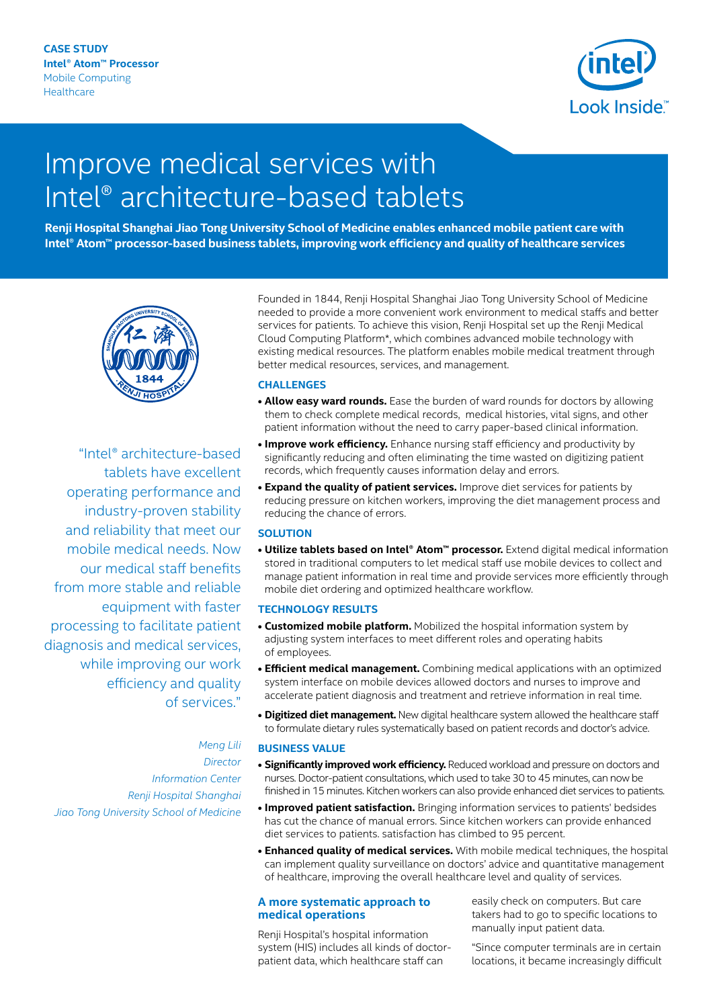

# Improve medical services with Intel® architecture-based tablets

**Renji Hospital Shanghai Jiao Tong University School of Medicine enables enhanced mobile patient care with Intel® Atom™ processor-based business tablets, improving work efficiency and quality of healthcare services**



"Intel® architecture-based tablets have excellent operating performance and industry-proven stability and reliability that meet our mobile medical needs. Now our medical staff benefits from more stable and reliable equipment with faster processing to facilitate patient diagnosis and medical services, while improving our work efficiency and quality of services."

*Meng Lili Director Information Center Renji Hospital Shanghai Jiao Tong University School of Medicine*

Founded in 1844, Renji Hospital Shanghai Jiao Tong University School of Medicine needed to provide a more convenient work environment to medical staffs and better services for patients. To achieve this vision, Renji Hospital set up the Renji Medical Cloud Computing Platform\*, which combines advanced mobile technology with existing medical resources. The platform enables mobile medical treatment through better medical resources, services, and management.

### **CHALLENGES**

- **Allow easy ward rounds.** Ease the burden of ward rounds for doctors by allowing them to check complete medical records, medical histories, vital signs, and other patient information without the need to carry paper-based clinical information.
- **• Improve work efficiency.** Enhance nursing staff efficiency and productivity by significantly reducing and often eliminating the time wasted on digitizing patient records, which frequently causes information delay and errors.
- **• Expand the quality of patient services.** Improve diet services for patients by reducing pressure on kitchen workers, improving the diet management process and reducing the chance of errors.

#### **SOLUTION**

**• Utilize tablets based on Intel® Atom™ processor.** Extend digital medical information stored in traditional computers to let medical staff use mobile devices to collect and manage patient information in real time and provide services more efficiently through mobile diet ordering and optimized healthcare workflow.

#### **TECHNOLOGY RESULTS**

- **• Customized mobile platform.** Mobilized the hospital information system by adjusting system interfaces to meet different roles and operating habits of employees.
- **• Efficient medical management.** Combining medical applications with an optimized system interface on mobile devices allowed doctors and nurses to improve and accelerate patient diagnosis and treatment and retrieve information in real time.
- **• Digitized diet management.** New digital healthcare system allowed the healthcare staff to formulate dietary rules systematically based on patient records and doctor's advice.

#### **BUSINESS VALUE**

- **• Significantly improved work efficiency.** Reduced workload and pressure on doctors and nurses. Doctor-patient consultations, which used to take 30 to 45 minutes, can now be finished in 15 minutes. Kitchen workers can also provide enhanced diet services to patients.
- **• Improved patient satisfaction.** Bringing information services to patients' bedsides has cut the chance of manual errors. Since kitchen workers can provide enhanced diet services to patients. satisfaction has climbed to 95 percent.
- **• Enhanced quality of medical services.** With mobile medical techniques, the hospital can implement quality surveillance on doctors' advice and quantitative management of healthcare, improving the overall healthcare level and quality of services.

#### **A more systematic approach to medical operations**

Renji Hospital's hospital information system (HIS) includes all kinds of doctorpatient data, which healthcare staff can

easily check on computers. But care takers had to go to specific locations to manually input patient data.

"Since computer terminals are in certain locations, it became increasingly difficult